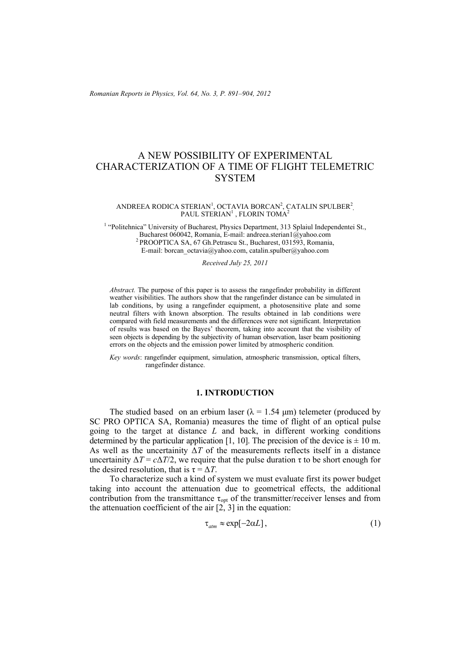*Romanian Reports in Physics, Vol. 64, No. 3, P. 891–904, 2012*

# A NEW POSSIBILITY OF EXPERIMENTAL CHARACTERIZATION OF A TIME OF FLIGHT TELEMETRIC **SYSTEM**

#### ANDREEA RODICA STERIAN<sup>1</sup>, OCTAVIA BORCAN<sup>2</sup>, CATALIN SPULBER<sup>2</sup>, PAUL STERIAN $^{\rm l}$  , FLORIN TOMA $^{\rm 2}$

<sup>1</sup> "Politehnica" University of Bucharest, Physics Department, 313 Splaiul Independentei St., Bucharest 060042, Romania, E-mail: andreea.sterian1@yahoo.com 2 PROOPTICA SA, 67 Gh.Petrascu St., Bucharest, 031593, Romania, E-mail: borcan\_octavia@yahoo.com, catalin.spulber@yahoo.com

*Received July 25, 2011* 

*Abstract.* The purpose of this paper is to assess the rangefinder probability in different weather visibilities. The authors show that the rangefinder distance can be simulated in lab conditions, by using a rangefinder equipment, a photosensitive plate and some neutral filters with known absorption. The results obtained in lab conditions were compared with field measurements and the differences were not significant. Interpretation of results was based on the Bayes' theorem, taking into account that the visibility of seen objects is depending by the subjectivity of human observation, laser beam positioning errors on the objects and the emission power limited by atmospheric condition*.* 

*Key words*: rangefinder equipment, simulation, atmospheric transmission, optical filters, rangefinder distance.

# **1. INTRODUCTION**

The studied based on an erbium laser ( $\lambda = 1.54$  µm) telemeter (produced by SC PRO OPTICA SA, Romania) measures the time of flight of an optical pulse going to the target at distance *L* and back, in different working conditions determined by the particular application [1, 10]. The precision of the device is  $\pm$  10 m. As well as the uncertainity  $\Delta T$  of the measurements reflects itself in a distance uncertainity  $\Delta T = c\Delta T/2$ , we require that the pulse duration  $\tau$  to be short enough for the desired resolution, that is  $\tau = \Delta T$ .

To characterize such a kind of system we must evaluate first its power budget taking into account the attenuation due to geometrical effects, the additional contribution from the transmittance  $\tau_{opt}$  of the transmitter/receiver lenses and from the attenuation coefficient of the air  $[2, 3]$  in the equation:

$$
\tau_{\text{atm}} \approx \exp[-2\alpha L],\tag{1}
$$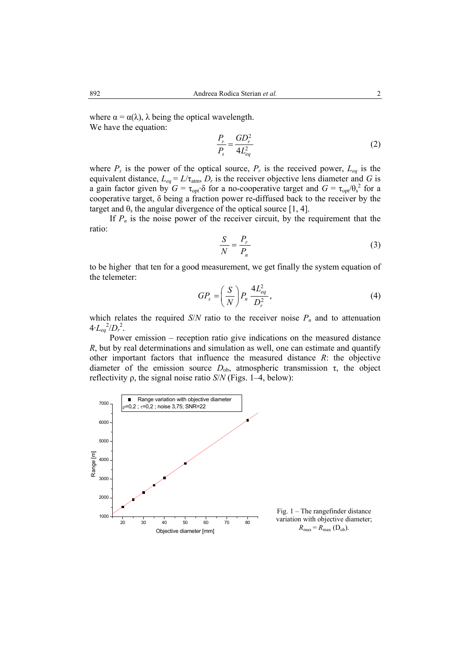where  $\alpha = \alpha(\lambda)$ ,  $\lambda$  being the optical wavelength. We have the equation:

$$
\frac{P_r}{P_s} = \frac{GD_r^2}{4L_{eq}^2} \tag{2}
$$

where  $P_s$  is the power of the optical source,  $P_r$  is the received power,  $L_{eq}$  is the equivalent distance,  $L_{eq} = L/\tau_{atm}$ ,  $D_r$  is the receiver objective lens diameter and *G* is a gain factor given by  $G = \tau_{opt} \delta$  for a no-cooperative target and  $G = \tau_{opt}/\theta_s^2$  for a cooperative target, δ being a fraction power re-diffused back to the receiver by the target and  $\theta_s$  the angular divergence of the optical source [1, 4].

If  $P_n$  is the noise power of the receiver circuit, by the requirement that the ratio:

$$
\frac{S}{N} = \frac{P_r}{P_n} \tag{3}
$$

to be higher that ten for a good measurement, we get finally the system equation of the telemeter:

$$
GP_s = \left(\frac{S}{N}\right) P_n \frac{4L_{eq}^2}{D_r^2},\tag{4}
$$

which relates the required *S/N* ratio to the receiver noise  $P_n$  and to attenuation  $4 \cdot L_{eq}^{2}/D_r^{2}$ .

Power emission – reception ratio give indications on the measured distance *R*, but by real determinations and simulation as well, one can estimate and quantify other important factors that influence the measured distance *R*: the objective diameter of the emission source  $D_{\text{ob}}$ , atmospheric transmission  $\tau$ , the object reflectivity ρ, the signal noise ratio *S*/*N* (Figs. 1–4, below):



Fig. 1 – The rangefinder distance variation with objective diameter;  $R_{\text{max}} = R_{\text{max}} \text{ (D<sub>ob</sub>)}.$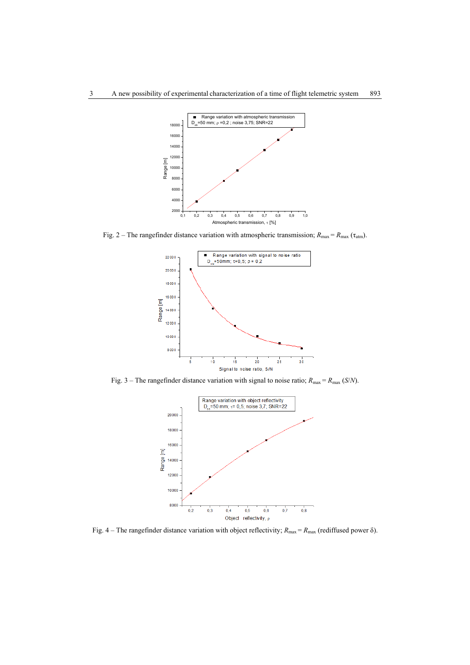

Fig. 2 – The rangefinder distance variation with atmospheric transmission;  $R_{\text{max}} = R_{\text{max}} (\tau_{\text{atm}})$ .



Fig. 3 – The rangefinder distance variation with signal to noise ratio;  $R_{\text{max}} = R_{\text{max}}$  (*S/N*).



Fig. 4 – The rangefinder distance variation with object reflectivity;  $R_{\text{max}} = R_{\text{max}}$  (rediffused power  $\delta$ ).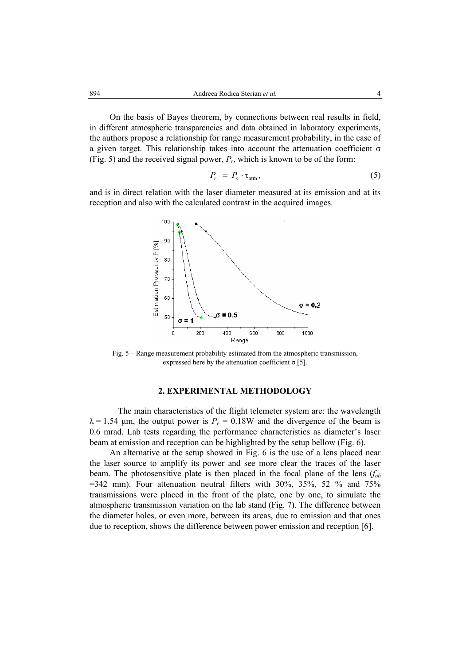On the basis of Bayes theorem, by connections between real results in field, in different atmospheric transparencies and data obtained in laboratory experiments, the authors propose a relationship for range measurement probability, in the case of a given target. This relationship takes into account the attenuation coefficient σ (Fig. 5) and the received signal power,  $P_r$ , which is known to be of the form:

$$
P_r = P_s \cdot \tau_{\text{atm}}, \tag{5}
$$

and is in direct relation with the laser diameter measured at its emission and at its reception and also with the calculated contrast in the acquired images.



Fig. 5 – Range measurement probability estimated from the atmospheric transmission, expressed here by the attenuation coefficient  $\sigma$  [5].

## **2. EXPERIMENTAL METHODOLOGY**

The main characteristics of the flight telemeter system are: the wavelength  $\lambda = 1.54$  µm, the output power is  $P_e = 0.18W$  and the divergence of the beam is 0.6 mrad. Lab tests regarding the performance characteristics as diameter's laser beam at emission and reception can be highlighted by the setup bellow (Fig. 6).

 An alternative at the setup showed in Fig. 6 is the use of a lens placed near the laser source to amplify its power and see more clear the traces of the laser beam. The photosensitive plate is then placed in the focal plane of the lens  $(f_{\alpha b})$  $=342$  mm). Four attenuation neutral filters with 30%, 35%, 52 % and 75% transmissions were placed in the front of the plate, one by one, to simulate the atmospheric transmission variation on the lab stand (Fig. 7). The difference between the diameter holes, or even more, between its areas, due to emission and that ones due to reception, shows the difference between power emission and reception [6].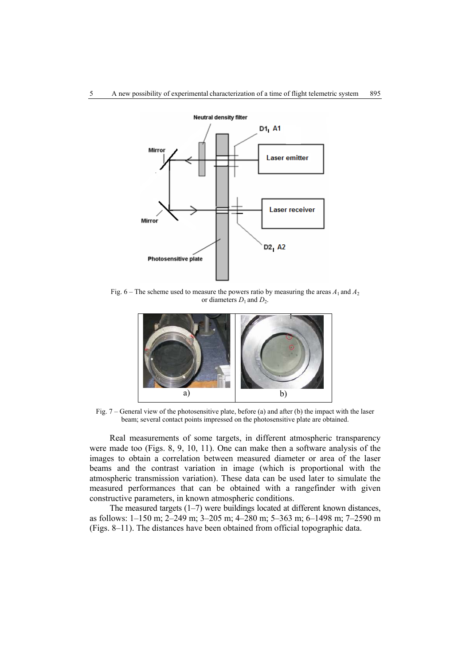

Fig. 6 – The scheme used to measure the powers ratio by measuring the areas  $A_1$  and  $A_2$ or diameters  $D_1$  and  $D_2$ .



Fig. 7 – General view of the photosensitive plate, before (a) and after (b) the impact with the laser beam; several contact points impressed on the photosensitive plate are obtained.

Real measurements of some targets, in different atmospheric transparency were made too (Figs. 8, 9, 10, 11). One can make then a software analysis of the images to obtain a correlation between measured diameter or area of the laser beams and the contrast variation in image (which is proportional with the atmospheric transmission variation). These data can be used later to simulate the measured performances that can be obtained with a rangefinder with given constructive parameters, in known atmospheric conditions.

The measured targets  $(1-7)$  were buildings located at different known distances, as follows: 1–150 m; 2–249 m; 3–205 m; 4–280 m; 5–363 m; 6–1498 m; 7–2590 m (Figs. 8–11). The distances have been obtained from official topographic data.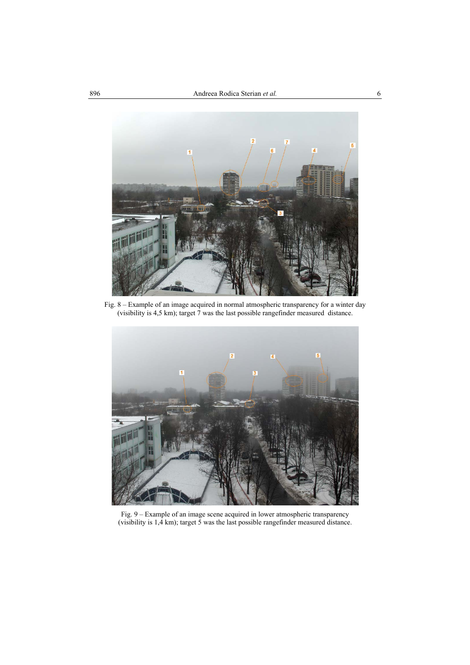

Fig. 8 – Example of an image acquired in normal atmospheric transparency for a winter day (visibility is 4,5 km); target 7 was the last possible rangefinder measured distance.



Fig. 9 – Example of an image scene acquired in lower atmospheric transparency (visibility is 1,4 km); target 5 was the last possible rangefinder measured distance.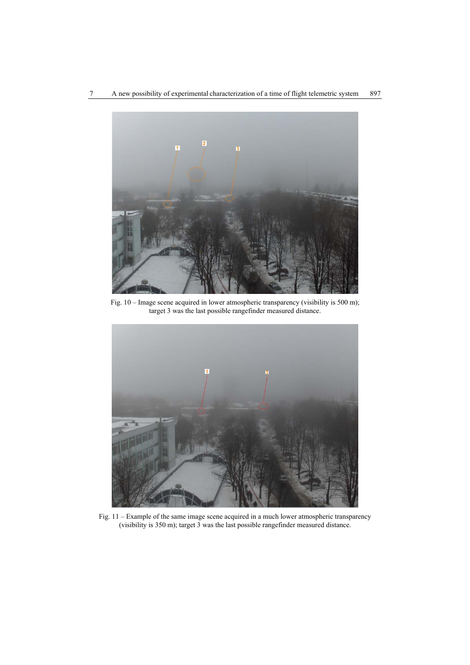

Fig. 10 – Image scene acquired in lower atmospheric transparency (visibility is 500 m); target 3 was the last possible rangefinder measured distance.



Fig. 11 – Example of the same image scene acquired in a much lower atmospheric transparency (visibility is 350 m); target 3 was the last possible rangefinder measured distance.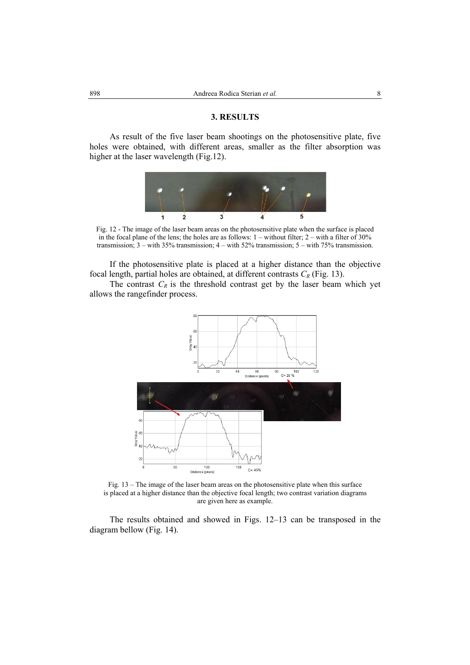#### **3. RESULTS**

As result of the five laser beam shootings on the photosensitive plate, five holes were obtained, with different areas, smaller as the filter absorption was higher at the laser wavelength (Fig.12).



Fig. 12 - The image of the laser beam areas on the photosensitive plate when the surface is placed in the focal plane of the lens; the holes are as follows:  $1 -$  without filter;  $2 -$  with a filter of 30% transmission; 3 – with 35% transmission; 4 – with 52% transmission; 5 – with 75% transmission.

If the photosensitive plate is placed at a higher distance than the objective focal length, partial holes are obtained, at different contrasts  $C_R$  (Fig. 13).

The contrast  $C_R$  is the threshold contrast get by the laser beam which yet allows the rangefinder process.



Fig. 13 – The image of the laser beam areas on the photosensitive plate when this surface is placed at a higher distance than the objective focal length; two contrast variation diagrams are given here as example.

The results obtained and showed in Figs. 12–13 can be transposed in the diagram bellow (Fig. 14).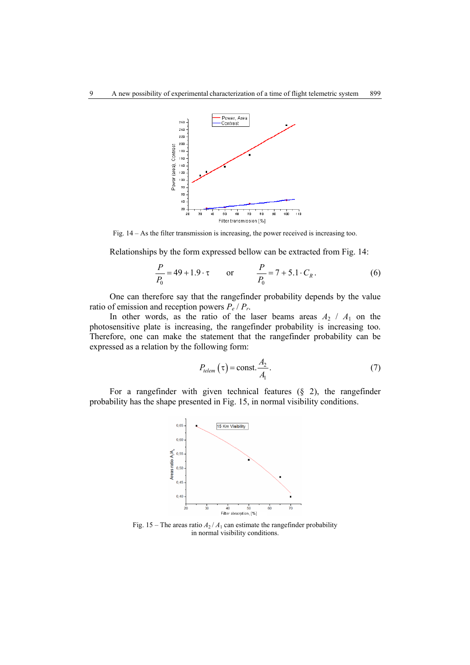

Fig. 14 – As the filter transmission is increasing, the power received is increasing too.

Relationships by the form expressed bellow can be extracted from Fig. 14:

$$
\frac{P}{P_0} = 49 + 1.9 \cdot \tau \qquad \text{or} \qquad \frac{P}{P_0} = 7 + 5.1 \cdot C_R. \tag{6}
$$

One can therefore say that the rangefinder probability depends by the value ratio of emission and reception powers  $P_e / P_r$ .

In other words, as the ratio of the laser beams areas  $A_2$  /  $A_1$  on the photosensitive plate is increasing, the rangefinder probability is increasing too. Therefore, one can make the statement that the rangefinder probability can be expressed as a relation by the following form:

$$
P_{\text{telem}}\left(\tau\right) = \text{const.} \frac{A_2}{A_1}.\tag{7}
$$

For a rangefinder with given technical features (§ 2), the rangefinder probability has the shape presented in Fig. 15, in normal visibility conditions.



Fig. 15 – The areas ratio  $A_2 / A_1$  can estimate the rangefinder probability in normal visibility conditions.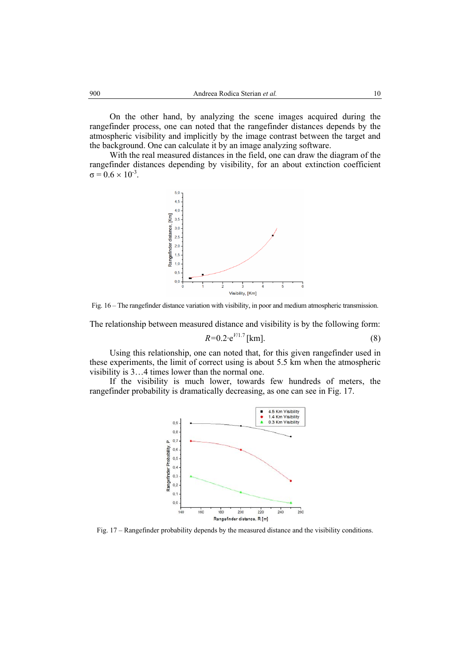On the other hand, by analyzing the scene images acquired during the rangefinder process, one can noted that the rangefinder distances depends by the atmospheric visibility and implicitly by the image contrast between the target and the background. One can calculate it by an image analyzing software.

With the real measured distances in the field, one can draw the diagram of the rangefinder distances depending by visibility, for an about extinction coefficient  $\sigma = 0.6 \times 10^{-3}$ .



Fig. 16 – The rangefinder distance variation with visibility, in poor and medium atmospheric transmission.

The relationship between measured distance and visibility is by the following form:

$$
R=0.2 \cdot e^{V/1.7} \, [\text{km}]. \tag{8}
$$

Using this relationship, one can noted that, for this given rangefinder used in these experiments, the limit of correct using is about 5.5 km when the atmospheric visibility is 3…4 times lower than the normal one.

If the visibility is much lower, towards few hundreds of meters, the rangefinder probability is dramatically decreasing, as one can see in Fig. 17.



Fig. 17 – Rangefinder probability depends by the measured distance and the visibility conditions.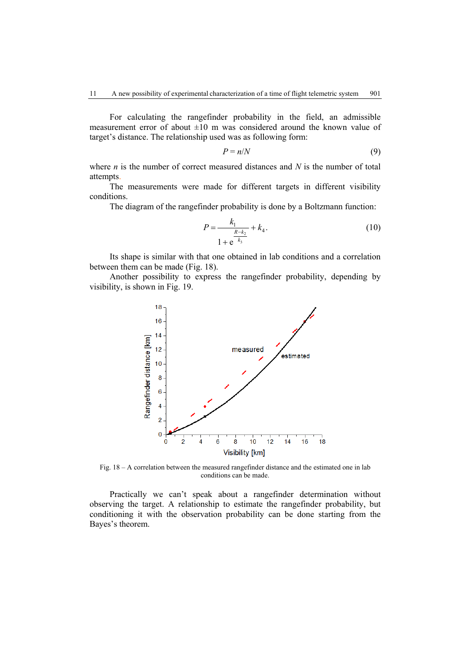For calculating the rangefinder probability in the field, an admissible measurement error of about  $\pm 10$  m was considered around the known value of target's distance. The relationship used was as following form:

$$
P = n/N \tag{9}
$$

where *n* is the number of correct measured distances and *N* is the number of total attempts.

The measurements were made for different targets in different visibility conditions.

The diagram of the rangefinder probability is done by a Boltzmann function:

$$
P = \frac{k_1}{1 + e^{\frac{R - k_2}{k_3}}} + k_4.
$$
 (10)

Its shape is similar with that one obtained in lab conditions and a correlation between them can be made (Fig. 18).

 Another possibility to express the rangefinder probability, depending by visibility, is shown in Fig. 19.



Fig. 18 – A correlation between the measured rangefinder distance and the estimated one in lab conditions can be made.

Practically we can't speak about a rangefinder determination without observing the target. A relationship to estimate the rangefinder probability, but conditioning it with the observation probability can be done starting from the Bayes's theorem.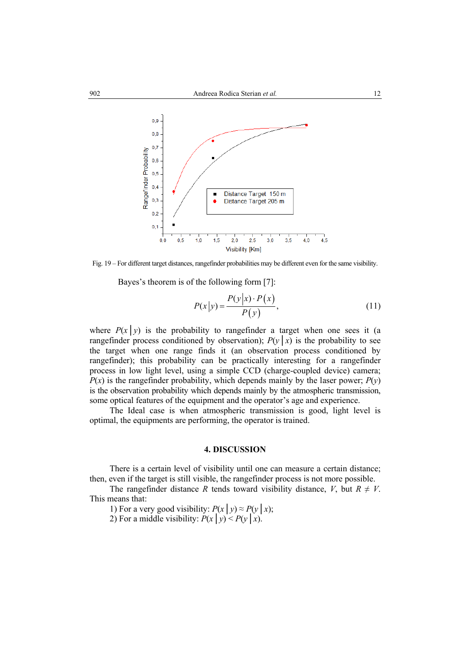

Fig. 19 – For different target distances, rangefinder probabilities may be different even for the same visibility.

Bayes's theorem is of the following form [7]:

$$
P(x|y) = \frac{P(y|x) \cdot P(x)}{P(y)},\tag{11}
$$

where  $P(x|y)$  is the probability to rangefinder a target when one sees it (a rangefinder process conditioned by observation);  $P(y|x)$  is the probability to see the target when one range finds it (an observation process conditioned by rangefinder); this probability can be practically interesting for a rangefinder process in low light level, using a simple CCD (charge-coupled device) camera;  $P(x)$  is the rangefinder probability, which depends mainly by the laser power;  $P(y)$ is the observation probability which depends mainly by the atmospheric transmission, some optical features of the equipment and the operator's age and experience.

 The Ideal case is when atmospheric transmission is good, light level is optimal, the equipments are performing, the operator is trained.

#### **4. DISCUSSION**

There is a certain level of visibility until one can measure a certain distance; then, even if the target is still visible, the rangefinder process is not more possible.

The rangefinder distance *R* tends toward visibility distance, *V*, but  $R \neq V$ . This means that:

1) For a very good visibility:  $P(x | y) \approx P(y | x)$ ;

2) For a middle visibility:  $P(x | y) < P(y | x)$ .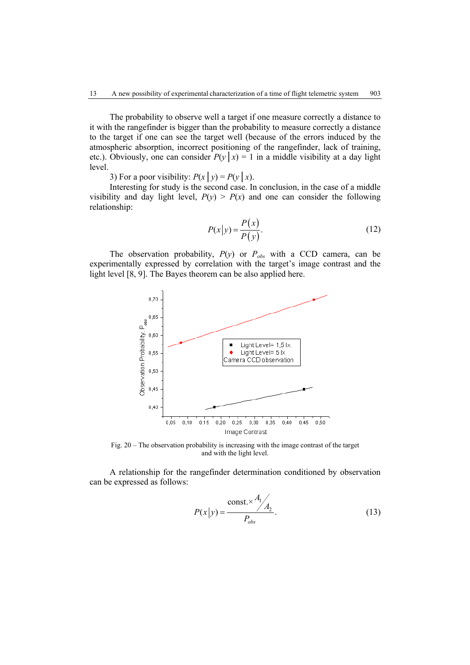The probability to observe well a target if one measure correctly a distance to it with the rangefinder is bigger than the probability to measure correctly a distance to the target if one can see the target well (because of the errors induced by the atmospheric absorption, incorrect positioning of the rangefinder, lack of training, etc.). Obviously, one can consider  $P(y|x) = 1$  in a middle visibility at a day light level.

3) For a poor visibility:  $P(x | y) = P(y | x)$ .

Interesting for study is the second case. In conclusion, in the case of a middle visibility and day light level,  $P(y) > P(x)$  and one can consider the following relationship:

$$
P(x|y) = \frac{P(x)}{P(y)}.
$$
\n(12)

The observation probability,  $P(y)$  or  $P_{obs}$  with a CCD camera, can be experimentally expressed by correlation with the target's image contrast and the light level [8, 9]. The Bayes theorem can be also applied here.



Fig. 20 – The observation probability is increasing with the image contrast of the target and with the light level.

A relationship for the rangefinder determination conditioned by observation can be expressed as follows:

$$
P(x|y) = \frac{\text{const.} \times \frac{A_1}{A_2}}{P_{obs}}.
$$
 (13)